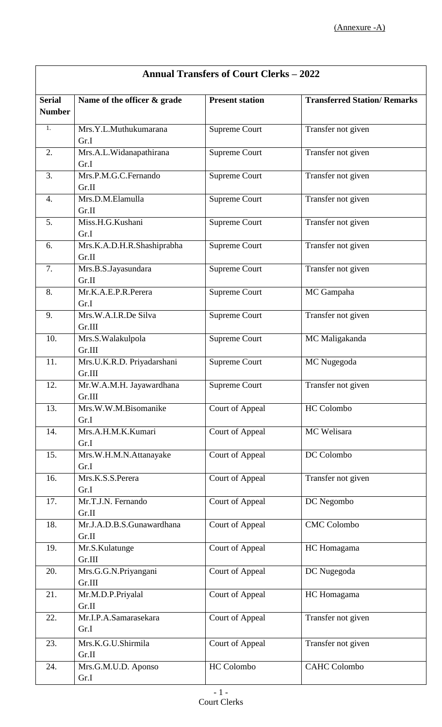| <b>Annual Transfers of Court Clerks - 2022</b> |                                      |                        |                                     |
|------------------------------------------------|--------------------------------------|------------------------|-------------------------------------|
| <b>Serial</b><br><b>Number</b>                 | Name of the officer & grade          | <b>Present station</b> | <b>Transferred Station/ Remarks</b> |
| $\overline{1}$ .                               | Mrs.Y.L.Muthukumarana<br>Gr.I        | <b>Supreme Court</b>   | Transfer not given                  |
| 2.                                             | Mrs.A.L.Widanapathirana<br>Gr.I      | <b>Supreme Court</b>   | Transfer not given                  |
| 3.                                             | Mrs.P.M.G.C.Fernando<br>Gr.II        | Supreme Court          | Transfer not given                  |
| 4.                                             | Mrs.D.M.Elamulla<br>Gr.II            | <b>Supreme Court</b>   | Transfer not given                  |
| 5.                                             | Miss.H.G.Kushani<br>Gr.I             | <b>Supreme Court</b>   | Transfer not given                  |
| 6.                                             | Mrs.K.A.D.H.R.Shashiprabha<br>Gr.II  | <b>Supreme Court</b>   | Transfer not given                  |
| 7.                                             | Mrs.B.S.Jayasundara<br>Gr.II         | <b>Supreme Court</b>   | Transfer not given                  |
| 8.                                             | Mr.K.A.E.P.R.Perera<br>Gr.I          | <b>Supreme Court</b>   | MC Gampaha                          |
| 9.                                             | Mrs.W.A.I.R.De Silva<br>Gr.III       | <b>Supreme Court</b>   | Transfer not given                  |
| 10.                                            | Mrs.S. Walakulpola<br>Gr.III         | <b>Supreme Court</b>   | MC Maligakanda                      |
| 11.                                            | Mrs.U.K.R.D. Priyadarshani<br>Gr.III | <b>Supreme Court</b>   | MC Nugegoda                         |
| 12.                                            | Mr.W.A.M.H. Jayawardhana<br>Gr.III   | <b>Supreme Court</b>   | Transfer not given                  |
| 13.                                            | Mrs.W.W.M.Bisomanike<br>Gr.I         | Court of Appeal        | HC Colombo                          |
| 14.                                            | Mrs.A.H.M.K.Kumari<br>Gr.I           | Court of Appeal        | MC Welisara                         |
| 15.                                            | Mrs.W.H.M.N.Attanayake<br>Gr.I       | Court of Appeal        | DC Colombo                          |
| 16.                                            | Mrs.K.S.S.Perera<br>Gr.I             | Court of Appeal        | Transfer not given                  |
| 17.                                            | Mr.T.J.N. Fernando<br>Gr.II          | Court of Appeal        | DC Negombo                          |
| 18.                                            | Mr.J.A.D.B.S.Gunawardhana<br>Gr.II   | Court of Appeal        | <b>CMC Colombo</b>                  |
| 19.                                            | Mr.S.Kulatunge<br>Gr.III             | Court of Appeal        | HC Homagama                         |
| 20.                                            | Mrs.G.G.N.Priyangani<br>Gr.III       | Court of Appeal        | DC Nugegoda                         |
| 21.                                            | Mr.M.D.P.Priyalal<br>Gr.II           | Court of Appeal        | HC Homagama                         |
| 22.                                            | Mr.I.P.A.Samarasekara<br>Gr.I        | Court of Appeal        | Transfer not given                  |
| 23.                                            | Mrs.K.G.U.Shirmila<br>Gr.II          | Court of Appeal        | Transfer not given                  |
| 24.                                            | Mrs.G.M.U.D. Aponso<br>Gr.I          | HC Colombo             | <b>CAHC</b> Colombo                 |

## **Annual Transfers of Court Clerks – 2022**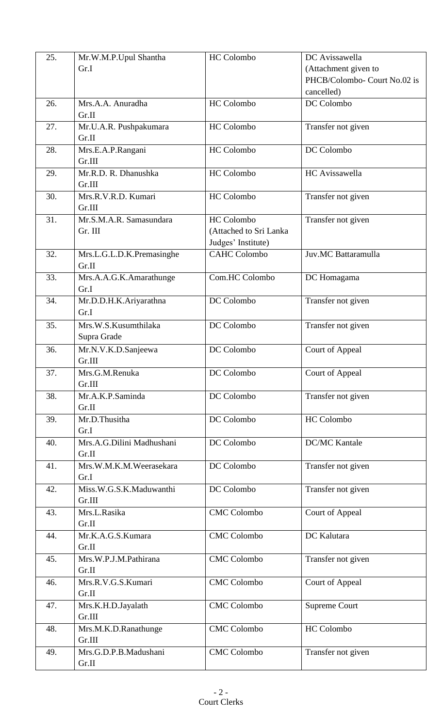| 25. | Mr.W.M.P.Upul Shantha     | HC Colombo             | DC Avissawella               |
|-----|---------------------------|------------------------|------------------------------|
|     | Gr.I                      |                        | (Attachment given to         |
|     |                           |                        | PHCB/Colombo- Court No.02 is |
|     |                           |                        | cancelled)                   |
| 26. | Mrs.A.A. Anuradha         | <b>HC</b> Colombo      | DC Colombo                   |
|     | Gr.II                     |                        |                              |
| 27. | Mr.U.A.R. Pushpakumara    | HC Colombo             | Transfer not given           |
|     | Gr.II                     |                        |                              |
| 28. | Mrs.E.A.P.Rangani         | <b>HC</b> Colombo      | DC Colombo                   |
|     | Gr.III                    |                        |                              |
| 29. | Mr.R.D. R. Dhanushka      | <b>HC</b> Colombo      | HC Avissawella               |
|     | Gr.III                    |                        |                              |
| 30. | Mrs.R.V.R.D. Kumari       | <b>HC</b> Colombo      | Transfer not given           |
|     | Gr.III                    |                        |                              |
| 31. | Mr.S.M.A.R. Samasundara   | <b>HC</b> Colombo      | Transfer not given           |
|     | Gr. III                   | (Attached to Sri Lanka |                              |
|     |                           | Judges' Institute)     |                              |
| 32. | Mrs.L.G.L.D.K.Premasinghe | <b>CAHC Colombo</b>    | Juv.MC Battaramulla          |
|     | Gr.II                     |                        |                              |
| 33. | Mrs.A.A.G.K.Amarathunge   | Com.HC Colombo         | DC Homagama                  |
|     | Gr.I                      |                        |                              |
| 34. | Mr.D.D.H.K.Ariyarathna    | DC Colombo             | Transfer not given           |
|     | Gr.I                      |                        |                              |
| 35. | Mrs.W.S.Kusumthilaka      | DC Colombo             | Transfer not given           |
|     | Supra Grade               |                        |                              |
| 36. | Mr.N.V.K.D.Sanjeewa       | DC Colombo             | Court of Appeal              |
|     | Gr.III                    |                        |                              |
| 37. | Mrs.G.M.Renuka            | DC Colombo             | Court of Appeal              |
|     | Gr.III                    |                        |                              |
| 38. | Mr.A.K.P.Saminda          | DC Colombo             | Transfer not given           |
|     | Gr.II                     |                        |                              |
| 39. | Mr.D.Thusitha             | DC Colombo             | <b>HC</b> Colombo            |
|     | Gr.I                      |                        |                              |
| 40. | Mrs.A.G.Dilini Madhushani | DC Colombo             | <b>DC/MC Kantale</b>         |
|     | Gr.II                     |                        |                              |
| 41. | Mrs.W.M.K.M.Weerasekara   | DC Colombo             | Transfer not given           |
|     | Gr.I                      |                        |                              |
| 42. | Miss.W.G.S.K.Maduwanthi   | DC Colombo             | Transfer not given           |
|     | Gr.III                    |                        |                              |
| 43. | Mrs.L.Rasika              | <b>CMC</b> Colombo     | Court of Appeal              |
|     | Gr.II                     |                        |                              |
| 44. | Mr.K.A.G.S.Kumara         | <b>CMC</b> Colombo     | DC Kalutara                  |
|     | Gr.II                     |                        |                              |
| 45. | Mrs.W.P.J.M.Pathirana     | <b>CMC</b> Colombo     | Transfer not given           |
|     | Gr.II                     |                        |                              |
| 46. | Mrs.R.V.G.S.Kumari        | <b>CMC</b> Colombo     | Court of Appeal              |
|     | Gr.II                     |                        |                              |
| 47. | Mrs.K.H.D.Jayalath        | <b>CMC</b> Colombo     | <b>Supreme Court</b>         |
|     | Gr.III                    |                        |                              |
| 48. | Mrs.M.K.D.Ranathunge      | <b>CMC</b> Colombo     | HC Colombo                   |
|     | Gr.III                    |                        |                              |
| 49. | Mrs.G.D.P.B.Madushani     | <b>CMC</b> Colombo     | Transfer not given           |
|     | Gr.II                     |                        |                              |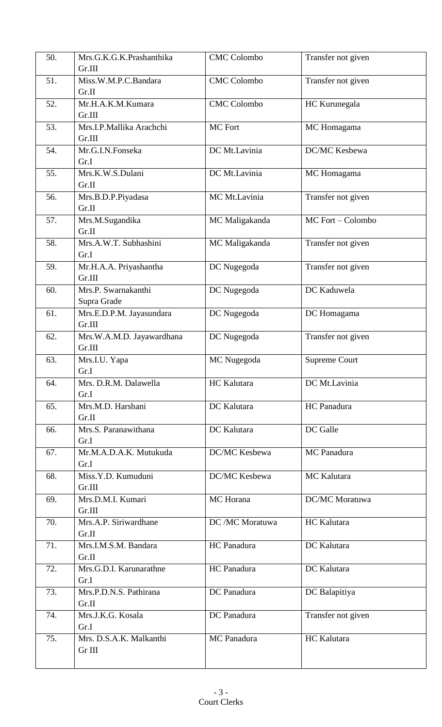| 50. | Mrs.G.K.G.K.Prashanthika           | <b>CMC Colombo</b> | Transfer not given   |
|-----|------------------------------------|--------------------|----------------------|
|     | Gr.III                             |                    |                      |
| 51. | Miss.W.M.P.C.Bandara<br>Gr.II      | <b>CMC</b> Colombo | Transfer not given   |
| 52. | Mr.H.A.K.M.Kumara                  | <b>CMC</b> Colombo | HC Kurunegala        |
|     | Gr.III                             |                    |                      |
| 53. | Mrs.I.P.Mallika Arachchi<br>Gr.III | MC Fort            | MC Homagama          |
| 54. | Mr.G.I.N.Fonseka                   | DC Mt.Lavinia      | DC/MC Kesbewa        |
|     | Gr.I                               |                    |                      |
| 55. | Mrs.K.W.S.Dulani                   | DC Mt.Lavinia      | MC Homagama          |
|     | Gr.II                              |                    |                      |
| 56. | Mrs.B.D.P.Piyadasa                 | MC Mt.Lavinia      | Transfer not given   |
|     | Gr.II                              |                    |                      |
| 57. | Mrs.M.Sugandika<br>Gr.II           | MC Maligakanda     | MC Fort - Colombo    |
| 58. | Mrs.A.W.T. Subhashini              | MC Maligakanda     | Transfer not given   |
|     | Gr.I                               |                    |                      |
| 59. | Mr.H.A.A. Priyashantha             | DC Nugegoda        | Transfer not given   |
|     | Gr.III                             |                    |                      |
| 60. | Mrs.P. Swarnakanthi                | DC Nugegoda        | DC Kaduwela          |
|     | Supra Grade                        |                    |                      |
| 61. | Mrs.E.D.P.M. Jayasundara           | DC Nugegoda        | DC Homagama          |
|     | Gr.III                             |                    |                      |
| 62. | Mrs.W.A.M.D. Jayawardhana          | DC Nugegoda        | Transfer not given   |
|     | Gr.III                             |                    |                      |
| 63. | Mrs.I.U. Yapa                      | MC Nugegoda        | <b>Supreme Court</b> |
|     | Gr.I                               |                    |                      |
| 64. | Mrs. D.R.M. Dalawella              | HC Kalutara        | DC Mt.Lavinia        |
|     | Gr.I                               |                    |                      |
| 65. | Mrs.M.D. Harshani                  | DC Kalutara        | HC Panadura          |
|     | Gr.II                              |                    |                      |
| 66. | Mrs.S. Paranawithana               | DC Kalutara        | DC Galle             |
|     | Gr.I                               |                    |                      |
| 67. | Mr.M.A.D.A.K. Mutukuda             | DC/MC Kesbewa      | MC Panadura          |
|     | Gr.I                               |                    |                      |
| 68. | Miss.Y.D. Kumuduni                 | DC/MC Kesbewa      | MC Kalutara          |
|     | Gr.III                             |                    |                      |
| 69. | Mrs.D.M.I. Kumari                  | MC Horana          | DC/MC Moratuwa       |
|     | Gr.III<br>Mrs.A.P. Siriwardhane    |                    |                      |
| 70. | Gr.II                              | DC /MC Moratuwa    | HC Kalutara          |
| 71. | Mrs.I.M.S.M. Bandara               | HC Panadura        | DC Kalutara          |
|     | Gr.II                              |                    |                      |
| 72. | Mrs.G.D.I. Karunarathne            | HC Panadura        | DC Kalutara          |
|     | Gr.I                               |                    |                      |
| 73. | Mrs.P.D.N.S. Pathirana             | DC Panadura        | DC Balapitiya        |
|     | Gr.II                              |                    |                      |
| 74. | Mrs.J.K.G. Kosala                  | DC Panadura        | Transfer not given   |
|     | Gr.I                               |                    |                      |
| 75. | Mrs. D.S.A.K. Malkanthi            | MC Panadura        | HC Kalutara          |
|     | Gr III                             |                    |                      |
|     |                                    |                    |                      |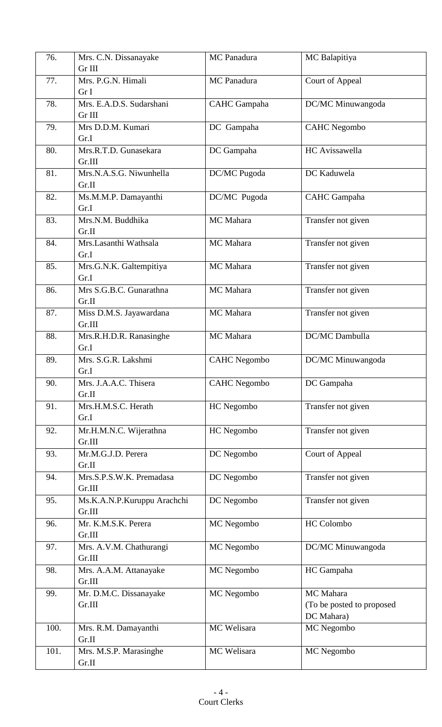| 76.  | Mrs. C.N. Dissanayake<br>Gr III       | MC Panadura         | MC Balapitiya                                        |
|------|---------------------------------------|---------------------|------------------------------------------------------|
| 77.  | Mrs. P.G.N. Himali<br>Gr I            | MC Panadura         | Court of Appeal                                      |
| 78.  | Mrs. E.A.D.S. Sudarshani<br>Gr III    | <b>CAHC</b> Gampaha | DC/MC Minuwangoda                                    |
| 79.  | Mrs D.D.M. Kumari<br>Gr.I             | DC Gampaha          | <b>CAHC</b> Negombo                                  |
| 80.  | Mrs.R.T.D. Gunasekara<br>Gr.III       | DC Gampaha          | <b>HC</b> Avissawella                                |
| 81.  | Mrs.N.A.S.G. Niwunhella<br>Gr.II      | DC/MC Pugoda        | DC Kaduwela                                          |
| 82.  | Ms.M.M.P. Damayanthi<br>Gr.I          | DC/MC Pugoda        | <b>CAHC</b> Gampaha                                  |
| 83.  | Mrs.N.M. Buddhika<br>Gr.II            | MC Mahara           | Transfer not given                                   |
| 84.  | Mrs.Lasanthi Wathsala<br>Gr.I         | MC Mahara           | Transfer not given                                   |
| 85.  | Mrs.G.N.K. Galtempitiya<br>Gr.I       | MC Mahara           | Transfer not given                                   |
| 86.  | Mrs S.G.B.C. Gunarathna<br>Gr.II      | MC Mahara           | Transfer not given                                   |
| 87.  | Miss D.M.S. Jayawardana<br>Gr.III     | MC Mahara           | Transfer not given                                   |
| 88.  | Mrs.R.H.D.R. Ranasinghe<br>Gr.I       | MC Mahara           | DC/MC Dambulla                                       |
| 89.  | Mrs. S.G.R. Lakshmi<br>Gr.I           | CAHC Negombo        | DC/MC Minuwangoda                                    |
| 90.  | Mrs. J.A.A.C. Thisera<br>Gr.II        | <b>CAHC</b> Negombo | DC Gampaha                                           |
| 91.  | Mrs.H.M.S.C. Herath<br>Gr.I           | HC Negombo          | Transfer not given                                   |
| 92.  | Mr.H.M.N.C. Wijerathna<br>Gr.III      | HC Negombo          | Transfer not given                                   |
| 93.  | Mr.M.G.J.D. Perera<br>Gr.II           | DC Negombo          | Court of Appeal                                      |
| 94.  | Mrs.S.P.S.W.K. Premadasa<br>Gr.III    | DC Negombo          | Transfer not given                                   |
| 95.  | Ms.K.A.N.P.Kuruppu Arachchi<br>Gr.III | DC Negombo          | Transfer not given                                   |
| 96.  | Mr. K.M.S.K. Perera<br>Gr.III         | MC Negombo          | <b>HC</b> Colombo                                    |
| 97.  | Mrs. A.V.M. Chathurangi<br>Gr.III     | MC Negombo          | DC/MC Minuwangoda                                    |
| 98.  | Mrs. A.A.M. Attanayake<br>Gr.III      | MC Negombo          | HC Gampaha                                           |
| 99.  | Mr. D.M.C. Dissanayake<br>Gr.III      | MC Negombo          | MC Mahara<br>(To be posted to proposed<br>DC Mahara) |
| 100. | Mrs. R.M. Damayanthi<br>Gr.II         | MC Welisara         | MC Negombo                                           |
| 101. | Mrs. M.S.P. Marasinghe<br>Gr.II       | MC Welisara         | MC Negombo                                           |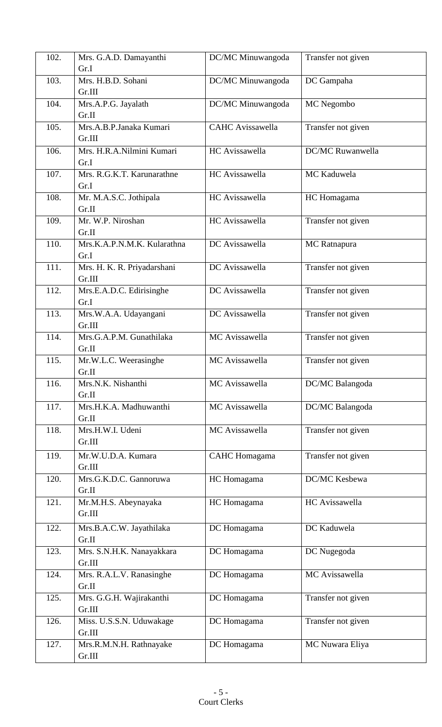| 102. | Mrs. G.A.D. Damayanthi                | DC/MC Minuwangoda       | Transfer not given      |
|------|---------------------------------------|-------------------------|-------------------------|
|      | Gr.I                                  |                         |                         |
| 103. | Mrs. H.B.D. Sohani<br>Gr.III          | DC/MC Minuwangoda       | DC Gampaha              |
| 104. | Mrs.A.P.G. Jayalath<br>Gr.II          | DC/MC Minuwangoda       | MC Negombo              |
| 105. | Mrs.A.B.P.Janaka Kumari<br>Gr.III     | <b>CAHC</b> Avissawella | Transfer not given      |
| 106. | Mrs. H.R.A.Nilmini Kumari<br>Gr.I     | HC Avissawella          | <b>DC/MC Ruwanwella</b> |
| 107. | Mrs. R.G.K.T. Karunarathne<br>Gr.I    | HC Avissawella          | MC Kaduwela             |
| 108. | Mr. M.A.S.C. Jothipala<br>Gr.II       | HC Avissawella          | HC Homagama             |
| 109. | Mr. W.P. Niroshan<br>Gr.II            | HC Avissawella          | Transfer not given      |
| 110. | Mrs.K.A.P.N.M.K. Kularathna<br>Gr.I   | DC Avissawella          | MC Ratnapura            |
| 111. | Mrs. H. K. R. Priyadarshani<br>Gr.III | DC Avissawella          | Transfer not given      |
| 112. | Mrs.E.A.D.C. Edirisinghe<br>Gr.I      | DC Avissawella          | Transfer not given      |
| 113. | Mrs.W.A.A. Udayangani<br>Gr.III       | DC Avissawella          | Transfer not given      |
| 114. | Mrs.G.A.P.M. Gunathilaka<br>Gr.II     | MC Avissawella          | Transfer not given      |
| 115. | Mr.W.L.C. Weerasinghe<br>Gr.II        | MC Avissawella          | Transfer not given      |
| 116. | Mrs.N.K. Nishanthi<br>Gr.II           | MC Avissawella          | DC/MC Balangoda         |
| 117. | Mrs.H.K.A. Madhuwanthi<br>Gr.II       | MC Avissawella          | DC/MC Balangoda         |
| 118. | Mrs.H.W.I. Udeni<br>Gr.III            | MC Avissawella          | Transfer not given      |
| 119. | Mr.W.U.D.A. Kumara<br>Gr.III          | <b>CAHC</b> Homagama    | Transfer not given      |
| 120. | Mrs.G.K.D.C. Gannoruwa<br>Gr.II       | HC Homagama             | DC/MC Kesbewa           |
| 121. | Mr.M.H.S. Abeynayaka<br>Gr.III        | HC Homagama             | HC Avissawella          |
| 122. | Mrs.B.A.C.W. Jayathilaka<br>Gr.II     | DC Homagama             | DC Kaduwela             |
| 123. | Mrs. S.N.H.K. Nanayakkara<br>Gr.III   | DC Homagama             | DC Nugegoda             |
| 124. | Mrs. R.A.L.V. Ranasinghe<br>Gr.II     | DC Homagama             | MC Avissawella          |
| 125. | Mrs. G.G.H. Wajirakanthi<br>Gr.III    | DC Homagama             | Transfer not given      |
| 126. | Miss. U.S.S.N. Uduwakage<br>Gr.III    | DC Homagama             | Transfer not given      |
| 127. | Mrs.R.M.N.H. Rathnayake<br>Gr.III     | DC Homagama             | MC Nuwara Eliya         |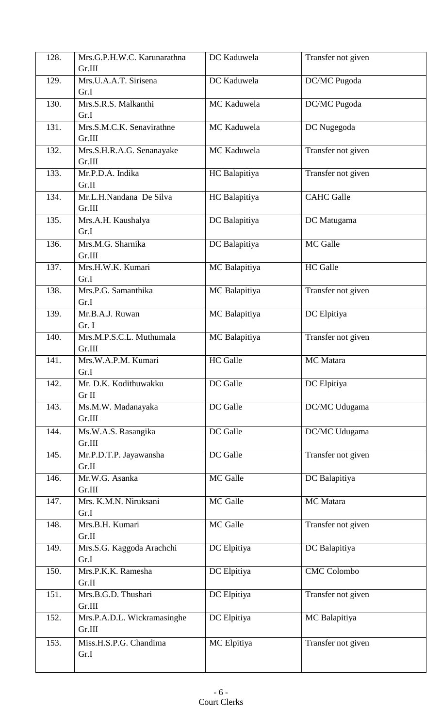| 128. | Mrs.G.P.H.W.C. Karunarathna     | DC Kaduwela     | Transfer not given |
|------|---------------------------------|-----------------|--------------------|
|      | Gr.III                          |                 |                    |
| 129. | Mrs.U.A.A.T. Sirisena           | DC Kaduwela     | DC/MC Pugoda       |
|      | Gr.I                            |                 |                    |
| 130. | Mrs.S.R.S. Malkanthi            | MC Kaduwela     | DC/MC Pugoda       |
|      | Gr.I                            |                 |                    |
| 131. | Mrs.S.M.C.K. Senavirathne       | MC Kaduwela     | DC Nugegoda        |
|      | Gr.III                          |                 |                    |
| 132. | Mrs.S.H.R.A.G. Senanayake       | MC Kaduwela     | Transfer not given |
|      | Gr.III                          |                 |                    |
| 133. | Mr.P.D.A. Indika                | HC Balapitiya   | Transfer not given |
|      | Gr.II                           |                 |                    |
| 134. | Mr.L.H.Nandana De Silva         | HC Balapitiya   | <b>CAHC</b> Galle  |
|      | Gr.III                          |                 |                    |
| 135. | Mrs.A.H. Kaushalya              | DC Balapitiya   | DC Matugama        |
|      | Gr.I                            |                 |                    |
| 136. | Mrs.M.G. Sharnika               | DC Balapitiya   | MC Galle           |
|      | Gr.III                          |                 |                    |
| 137. | Mrs.H.W.K. Kumari               | MC Balapitiya   | <b>HC</b> Galle    |
|      | Gr.I                            |                 |                    |
| 138. | Mrs.P.G. Samanthika             | MC Balapitiya   | Transfer not given |
|      | Gr.I                            |                 |                    |
| 139. | Mr.B.A.J. Ruwan                 | MC Balapitiya   | DC Elpitiya        |
|      | Gr. I                           |                 |                    |
| 140. | Mrs.M.P.S.C.L. Muthumala        | MC Balapitiya   | Transfer not given |
|      | Gr.III                          |                 |                    |
| 141. | Mrs.W.A.P.M. Kumari             | <b>HC</b> Galle | MC Matara          |
|      | Gr I                            |                 |                    |
| 142. | Mr. D.K. Kodithuwakku           | DC Galle        | DC Elpitiya        |
|      | Gr II                           |                 |                    |
| 143. | Ms.M.W. Madanayaka<br>Gr.III    | DC Galle        | DC/MC Udugama      |
|      |                                 |                 |                    |
| 144. | Ms.W.A.S. Rasangika             | DC Galle        | DC/MC Udugama      |
|      | Gr.III                          | DC Galle        |                    |
| 145. | Mr.P.D.T.P. Jayawansha<br>Gr.II |                 | Transfer not given |
| 146. | Mr.W.G. Asanka                  | MC Galle        | DC Balapitiya      |
|      | Gr.III                          |                 |                    |
| 147. | Mrs. K.M.N. Niruksani           | MC Galle        | MC Matara          |
|      | Gr.I                            |                 |                    |
| 148. | Mrs.B.H. Kumari                 | MC Galle        | Transfer not given |
|      | Gr.II                           |                 |                    |
| 149. | Mrs.S.G. Kaggoda Arachchi       | DC Elpitiya     | DC Balapitiya      |
|      | Gr.I                            |                 |                    |
| 150. | Mrs.P.K.K. Ramesha              | DC Elpitiya     | <b>CMC</b> Colombo |
|      | Gr.II                           |                 |                    |
| 151. | Mrs.B.G.D. Thushari             | DC Elpitiya     | Transfer not given |
|      | Gr.III                          |                 |                    |
| 152. | Mrs.P.A.D.L. Wickramasinghe     | DC Elpitiya     | MC Balapitiya      |
|      | Gr.III                          |                 |                    |
| 153. | Miss.H.S.P.G. Chandima          | MC Elpitiya     | Transfer not given |
|      | Gr.I                            |                 |                    |
|      |                                 |                 |                    |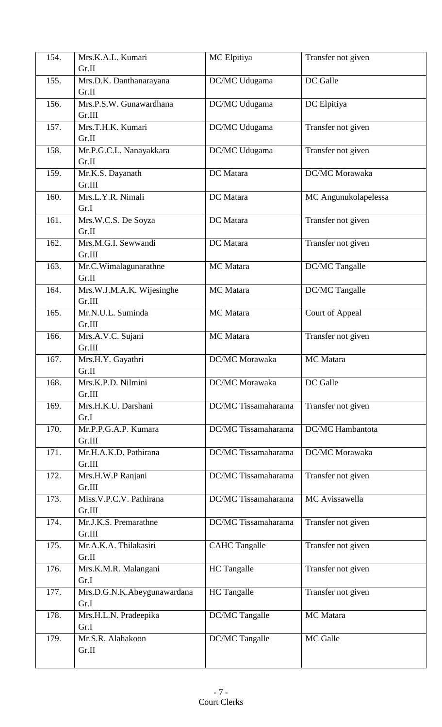| 154. | Mrs.K.A.L. Kumari<br>Gr.II          | MC Elpitiya          | Transfer not given      |
|------|-------------------------------------|----------------------|-------------------------|
| 155. | Mrs.D.K. Danthanarayana<br>Gr.II    | DC/MC Udugama        | DC Galle                |
| 156. | Mrs.P.S.W. Gunawardhana<br>Gr.III   | DC/MC Udugama        | DC Elpitiya             |
| 157. | Mrs.T.H.K. Kumari<br>Gr.II          | DC/MC Udugama        | Transfer not given      |
| 158. | Mr.P.G.C.L. Nanayakkara<br>Gr.II    | DC/MC Udugama        | Transfer not given      |
| 159. | Mr.K.S. Dayanath<br>Gr.III          | DC Matara            | DC/MC Morawaka          |
| 160. | Mrs.L.Y.R. Nimali<br>Gr.I           | DC Matara            | MC Angunukolapelessa    |
| 161. | Mrs.W.C.S. De Soyza<br>Gr.II        | DC Matara            | Transfer not given      |
| 162. | Mrs.M.G.I. Sewwandi<br>Gr.III       | DC Matara            | Transfer not given      |
| 163. | Mr.C.Wimalagunarathne<br>Gr.II      | MC Matara            | DC/MC Tangalle          |
| 164. | Mrs.W.J.M.A.K. Wijesinghe<br>Gr.III | MC Matara            | DC/MC Tangalle          |
| 165. | Mr.N.U.L. Suminda<br>Gr.III         | MC Matara            | Court of Appeal         |
| 166. | Mrs.A.V.C. Sujani<br>Gr.III         | MC Matara            | Transfer not given      |
| 167. | Mrs.H.Y. Gayathri<br>Gr.II          | DC/MC Morawaka       | MC Matara               |
| 168. | Mrs.K.P.D. Nilmini<br>Gr.III        | DC/MC Morawaka       | DC Galle                |
| 169. | Mrs.H.K.U. Darshani<br>Gr.I         | DC/MC Tissamaharama  | Transfer not given      |
| 170. | Mr.P.P.G.A.P. Kumara<br>Gr.III      | DC/MC Tissamaharama  | <b>DC/MC</b> Hambantota |
| 171. | Mr.H.A.K.D. Pathirana<br>Gr.III     | DC/MC Tissamaharama  | DC/MC Morawaka          |
| 172. | Mrs.H.W.P Ranjani<br>Gr.III         | DC/MC Tissamaharama  | Transfer not given      |
| 173. | Miss.V.P.C.V. Pathirana<br>Gr.III   | DC/MC Tissamaharama  | MC Avissawella          |
| 174. | Mr.J.K.S. Premarathne<br>Gr.III     | DC/MC Tissamaharama  | Transfer not given      |
| 175. | Mr.A.K.A. Thilakasiri<br>Gr.II      | <b>CAHC Tangalle</b> | Transfer not given      |
| 176. | Mrs.K.M.R. Malangani<br>Gr.I        | <b>HC</b> Tangalle   | Transfer not given      |
| 177. | Mrs.D.G.N.K.Abeygunawardana<br>Gr.I | <b>HC</b> Tangalle   | Transfer not given      |
| 178. | Mrs.H.L.N. Pradeepika<br>Gr.I       | DC/MC Tangalle       | MC Matara               |
| 179. | Mr.S.R. Alahakoon<br>Gr.II          | DC/MC Tangalle       | MC Galle                |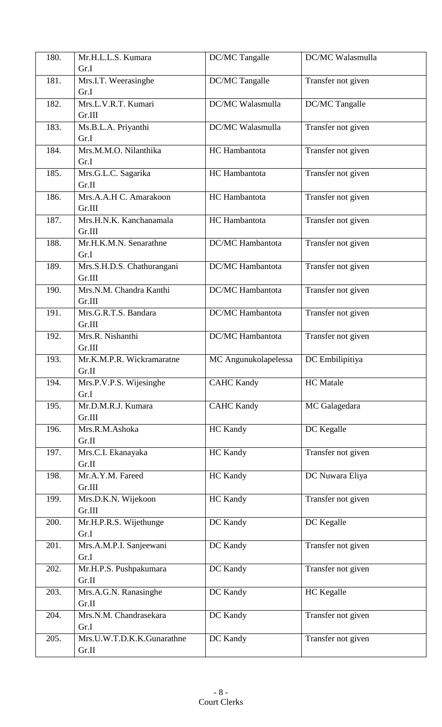| 180. | Mr.H.L.L.S. Kumara         | DC/MC Tangalle          | DC/MC Walasmulla   |
|------|----------------------------|-------------------------|--------------------|
|      | Gr.I                       |                         |                    |
| 181. | Mrs.I.T. Weerasinghe       | DC/MC Tangalle          | Transfer not given |
|      | Gr.I                       |                         |                    |
| 182. | Mrs.L.V.R.T. Kumari        | DC/MC Walasmulla        | DC/MC Tangalle     |
|      | Gr.III                     |                         |                    |
| 183. | Ms.B.L.A. Priyanthi        | DC/MC Walasmulla        | Transfer not given |
|      | Gr.I                       |                         |                    |
| 184. | Mrs.M.M.O. Nilanthika      | HC Hambantota           | Transfer not given |
|      | Gr.I                       |                         |                    |
| 185. | Mrs.G.L.C. Sagarika        | HC Hambantota           | Transfer not given |
|      | Gr.II                      |                         |                    |
| 186. | Mrs.A.A.H C. Amarakoon     | HC Hambantota           | Transfer not given |
|      | Gr.III                     |                         |                    |
| 187. | Mrs.H.N.K. Kanchanamala    | HC Hambantota           | Transfer not given |
|      | Gr.III                     |                         |                    |
| 188. | Mr.H.K.M.N. Senarathne     | <b>DC/MC</b> Hambantota | Transfer not given |
|      | Gr.I                       |                         |                    |
| 189. | Mrs.S.H.D.S. Chathurangani | DC/MC Hambantota        | Transfer not given |
|      | Gr.III                     |                         |                    |
| 190. | Mrs.N.M. Chandra Kanthi    | DC/MC Hambantota        | Transfer not given |
|      | Gr.III                     |                         |                    |
| 191. | Mrs.G.R.T.S. Bandara       | DC/MC Hambantota        | Transfer not given |
|      | Gr.III                     |                         |                    |
| 192. | Mrs.R. Nishanthi           | DC/MC Hambantota        | Transfer not given |
|      | Gr.III                     |                         |                    |
| 193. | Mr.K.M.P.R. Wickramaratne  | MC Angunukolapelessa    | DC Embilipitiya    |
|      | Gr.II                      |                         |                    |
| 194. | Mrs.P.V.P.S. Wijesinghe    | <b>CAHC Kandy</b>       | <b>HC</b> Matale   |
|      | Gr.I                       |                         |                    |
| 195. | Mr.D.M.R.J. Kumara         | <b>CAHC Kandy</b>       | MC Galagedara      |
|      | Gr.III                     |                         |                    |
| 196. | Mrs.R.M.Ashoka             | <b>HC</b> Kandy         | DC Kegalle         |
|      | Gr.II                      |                         |                    |
| 197. | Mrs.C.I. Ekanayaka         | HC Kandy                | Transfer not given |
|      | Gr.II                      |                         |                    |
| 198. | Mr.A.Y.M. Fareed           | <b>HC</b> Kandy         | DC Nuwara Eliya    |
|      | Gr.III                     |                         |                    |
| 199. | Mrs.D.K.N. Wijekoon        | HC Kandy                | Transfer not given |
|      | Gr.III                     |                         |                    |
| 200. | Mr.H.P.R.S. Wijethunge     | DC Kandy                | DC Kegalle         |
|      | Gr.I                       |                         |                    |
| 201. | Mrs.A.M.P.I. Sanjeewani    | DC Kandy                | Transfer not given |
|      | Gr.I                       |                         |                    |
| 202. | Mr.H.P.S. Pushpakumara     | DC Kandy                | Transfer not given |
|      | Gr.II                      |                         |                    |
| 203. | Mrs.A.G.N. Ranasinghe      | DC Kandy                | HC Kegalle         |
|      | Gr.II                      |                         |                    |
| 204. | Mrs.N.M. Chandrasekara     | DC Kandy                | Transfer not given |
|      | Gr.I                       |                         |                    |
| 205. | Mrs.U.W.T.D.K.K.Gunarathne | DC Kandy                | Transfer not given |
|      | Gr.II                      |                         |                    |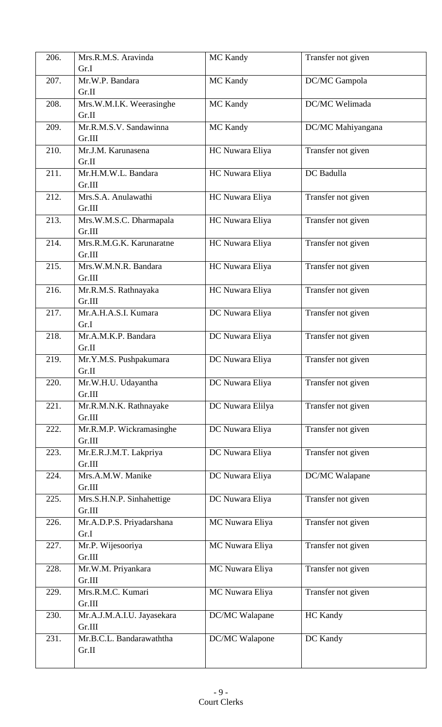| 206. | Mrs.R.M.S. Aravinda        | <b>MC Kandy</b>  | Transfer not given |
|------|----------------------------|------------------|--------------------|
|      | Gr.I                       |                  |                    |
| 207. | Mr.W.P. Bandara            | <b>MC Kandy</b>  | DC/MC Gampola      |
|      | Gr.II                      |                  |                    |
| 208. | Mrs.W.M.I.K. Weerasinghe   | <b>MC Kandy</b>  | DC/MC Welimada     |
|      | Gr.II                      |                  |                    |
| 209. | Mr.R.M.S.V. Sandawinna     | <b>MC Kandy</b>  | DC/MC Mahiyangana  |
|      | Gr.III                     |                  |                    |
| 210. | Mr.J.M. Karunasena         | HC Nuwara Eliya  | Transfer not given |
|      | Gr.II                      |                  |                    |
| 211. | Mr.H.M.W.L. Bandara        | HC Nuwara Eliya  | DC Badulla         |
|      | Gr.III                     |                  |                    |
| 212. | Mrs.S.A. Anulawathi        | HC Nuwara Eliya  | Transfer not given |
|      | Gr.III                     |                  |                    |
| 213. | Mrs.W.M.S.C. Dharmapala    | HC Nuwara Eliya  | Transfer not given |
|      | Gr.III                     |                  |                    |
| 214. | Mrs.R.M.G.K. Karunaratne   | HC Nuwara Eliya  | Transfer not given |
|      | Gr.III                     |                  |                    |
| 215. | Mrs.W.M.N.R. Bandara       | HC Nuwara Eliya  | Transfer not given |
|      | Gr.III                     |                  |                    |
| 216. | Mr.R.M.S. Rathnayaka       | HC Nuwara Eliya  | Transfer not given |
|      | Gr.III                     |                  |                    |
| 217. | Mr.A.H.A.S.I. Kumara       | DC Nuwara Eliya  | Transfer not given |
|      | Gr.I                       |                  |                    |
| 218. | Mr.A.M.K.P. Bandara        | DC Nuwara Eliya  | Transfer not given |
|      | Gr.II                      |                  |                    |
| 219. | Mr.Y.M.S. Pushpakumara     | DC Nuwara Eliya  | Transfer not given |
|      | Gr.II                      |                  |                    |
| 220. | Mr.W.H.U. Udayantha        | DC Nuwara Eliya  | Transfer not given |
|      | Gr.III                     |                  |                    |
| 221. | Mr.R.M.N.K. Rathnayake     | DC Nuwara Elilya | Transfer not given |
|      | Gr.III                     |                  |                    |
| 222. | Mr.R.M.P. Wickramasinghe   | DC Nuwara Eliya  | Transfer not given |
|      | Gr.III                     |                  |                    |
| 223. | Mr.E.R.J.M.T. Lakpriya     | DC Nuwara Eliya  | Transfer not given |
|      | Gr.III                     |                  |                    |
| 224. | Mrs.A.M.W. Manike          | DC Nuwara Eliya  | DC/MC Walapane     |
|      | Gr.III                     |                  |                    |
| 225. | Mrs.S.H.N.P. Sinhahettige  | DC Nuwara Eliya  | Transfer not given |
|      | Gr.III                     |                  |                    |
| 226. | Mr.A.D.P.S. Priyadarshana  | MC Nuwara Eliya  | Transfer not given |
|      | Gr.I                       |                  |                    |
| 227. | Mr.P. Wijesooriya          | MC Nuwara Eliya  | Transfer not given |
|      | Gr.III                     |                  |                    |
| 228. | Mr.W.M. Priyankara         | MC Nuwara Eliya  | Transfer not given |
|      | Gr.III                     |                  |                    |
| 229. | Mrs.R.M.C. Kumari          | MC Nuwara Eliya  | Transfer not given |
|      | Gr.III                     |                  |                    |
| 230. | Mr.A.J.M.A.I.U. Jayasekara | DC/MC Walapane   | <b>HC</b> Kandy    |
|      | Gr.III                     |                  |                    |
| 231. | Mr.B.C.L. Bandarawaththa   | DC/MC Walapone   | DC Kandy           |
|      | Gr.II                      |                  |                    |
|      |                            |                  |                    |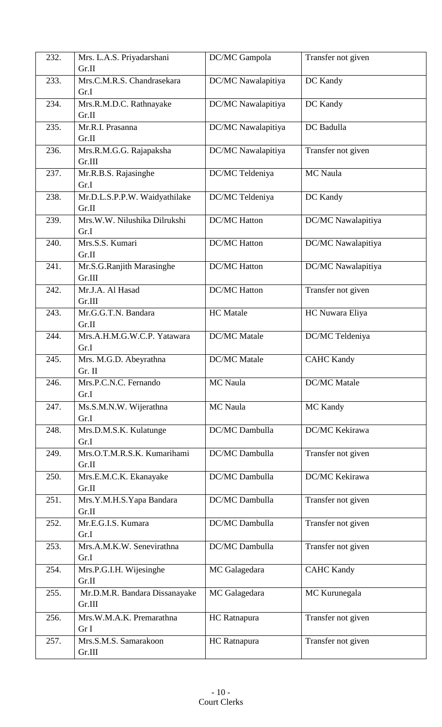| 232. | Mrs. L.A.S. Priyadarshani          | DC/MC Gampola       | Transfer not given  |
|------|------------------------------------|---------------------|---------------------|
|      | Gr.II                              |                     |                     |
| 233. | Mrs.C.M.R.S. Chandrasekara<br>Gr.I | DC/MC Nawalapitiya  | DC Kandy            |
| 234. | Mrs.R.M.D.C. Rathnayake<br>Gr.II   | DC/MC Nawalapitiya  | DC Kandy            |
| 235. | Mr.R.I. Prasanna                   | DC/MC Nawalapitiya  | DC Badulla          |
|      | Gr.II                              |                     |                     |
| 236. | Mrs.R.M.G.G. Rajapaksha<br>Gr.III  | DC/MC Nawalapitiya  | Transfer not given  |
| 237. | Mr.R.B.S. Rajasinghe<br>Gr.I       | DC/MC Teldeniya     | MC Naula            |
| 238. | Mr.D.L.S.P.P.W. Waidyathilake      | DC/MC Teldeniya     | DC Kandy            |
|      | Gr.II                              |                     |                     |
| 239. | Mrs.W.W. Nilushika Dilrukshi       | <b>DC/MC Hatton</b> | DC/MC Nawalapitiya  |
|      | Gr.I                               |                     |                     |
| 240. | Mrs.S.S. Kumari                    | <b>DC/MC Hatton</b> | DC/MC Nawalapitiya  |
|      | Gr.II                              |                     |                     |
| 241. | Mr.S.G.Ranjith Marasinghe          | <b>DC/MC Hatton</b> | DC/MC Nawalapitiya  |
|      | Gr.III                             |                     |                     |
| 242. | Mr.J.A. Al Hasad                   | <b>DC/MC Hatton</b> | Transfer not given  |
|      | Gr.III                             |                     |                     |
| 243. | Mr.G.G.T.N. Bandara                | <b>HC</b> Matale    | HC Nuwara Eliya     |
|      | Gr.II                              |                     |                     |
| 244. | Mrs.A.H.M.G.W.C.P. Yatawara        | <b>DC/MC</b> Matale | DC/MC Teldeniya     |
|      | Gr.I                               |                     |                     |
| 245. | Mrs. M.G.D. Abeyrathna<br>Gr. II   | <b>DC/MC</b> Matale | <b>CAHC Kandy</b>   |
| 246. | Mrs.P.C.N.C. Fernando              | MC Naula            | <b>DC/MC</b> Matale |
|      | Gr.I                               |                     |                     |
| 247. | Ms.S.M.N.W. Wijerathna             | MC Naula            | MC Kandy            |
|      | Gr.I                               |                     |                     |
| 248. | Mrs.D.M.S.K. Kulatunge             | DC/MC Dambulla      | DC/MC Kekirawa      |
|      | Gr.I                               |                     |                     |
| 249. | Mrs.O.T.M.R.S.K. Kumarihami        | DC/MC Dambulla      | Transfer not given  |
|      | Gr.II                              |                     |                     |
| 250. | Mrs.E.M.C.K. Ekanayake             | DC/MC Dambulla      | DC/MC Kekirawa      |
|      | Gr.II                              |                     |                     |
| 251. | Mrs.Y.M.H.S.Yapa Bandara           | DC/MC Dambulla      | Transfer not given  |
|      | Gr.II                              |                     |                     |
| 252. | Mr.E.G.I.S. Kumara<br>Gr.I         | DC/MC Dambulla      | Transfer not given  |
| 253. | Mrs.A.M.K.W. Senevirathna          | DC/MC Dambulla      |                     |
|      | Gr.I                               |                     | Transfer not given  |
| 254. | Mrs.P.G.I.H. Wijesinghe            | MC Galagedara       | <b>CAHC Kandy</b>   |
|      | Gr.II                              |                     |                     |
| 255. | Mr.D.M.R. Bandara Dissanayake      | MC Galagedara       | MC Kurunegala       |
|      | Gr.III                             |                     |                     |
| 256. | Mrs.W.M.A.K. Premarathna           | HC Ratnapura        | Transfer not given  |
|      | Gr I                               |                     |                     |
| 257. | Mrs.S.M.S. Samarakoon              | HC Ratnapura        | Transfer not given  |
|      | Gr.III                             |                     |                     |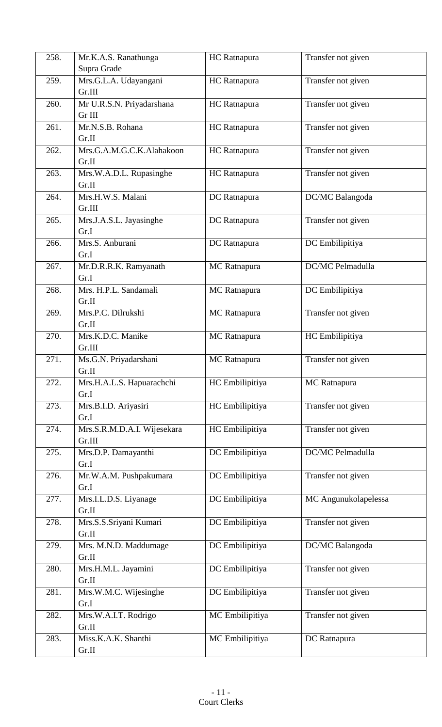| 258. | Mr.K.A.S. Ranathunga          | <b>HC</b> Ratnapura | Transfer not given   |
|------|-------------------------------|---------------------|----------------------|
|      | Supra Grade                   |                     |                      |
| 259. | Mrs.G.L.A. Udayangani         | <b>HC</b> Ratnapura | Transfer not given   |
|      | Gr.III                        |                     |                      |
| 260. | Mr U.R.S.N. Priyadarshana     | <b>HC</b> Ratnapura | Transfer not given   |
|      | Gr III                        |                     |                      |
| 261. | Mr.N.S.B. Rohana              | <b>HC</b> Ratnapura | Transfer not given   |
|      | Gr.II                         |                     |                      |
| 262. | Mrs.G.A.M.G.C.K.Alahakoon     | HC Ratnapura        | Transfer not given   |
|      | Gr.II                         |                     |                      |
| 263. | Mrs.W.A.D.L. Rupasinghe       | <b>HC</b> Ratnapura | Transfer not given   |
|      | Gr.II                         |                     |                      |
| 264. | Mrs.H.W.S. Malani             | DC Ratnapura        | DC/MC Balangoda      |
|      | Gr.III                        |                     |                      |
| 265. | Mrs.J.A.S.L. Jayasinghe       | DC Ratnapura        | Transfer not given   |
|      | Gr.I                          |                     |                      |
| 266. | Mrs.S. Anburani               | DC Ratnapura        | DC Embilipitiya      |
|      | Gr.I                          |                     |                      |
| 267. | Mr.D.R.R.K. Ramyanath         | <b>MC</b> Ratnapura | DC/MC Pelmadulla     |
|      | Gr.I                          |                     |                      |
| 268. | Mrs. H.P.L. Sandamali         | MC Ratnapura        | DC Embilipitiya      |
|      | Gr.II                         |                     |                      |
| 269. | Mrs.P.C. Dilrukshi            | MC Ratnapura        | Transfer not given   |
|      | Gr.II                         |                     |                      |
| 270. | Mrs.K.D.C. Manike             | MC Ratnapura        | HC Embilipitiya      |
|      | Gr.III                        |                     |                      |
| 271. | Ms.G.N. Priyadarshani         | <b>MC</b> Ratnapura | Transfer not given   |
|      | Gr.II                         |                     |                      |
| 272. | Mrs.H.A.L.S. Hapuarachchi     | HC Embilipitiya     | MC Ratnapura         |
|      | Gr.I                          |                     |                      |
| 273. | Mrs.B.I.D. Ariyasiri          | HC Embilipitiya     | Transfer not given   |
|      | Gr.I                          |                     |                      |
| 274. | Mrs.S.R.M.D.A.I. Wijesekara   | HC Embilipitiya     | Transfer not given   |
|      | Gr.III                        |                     |                      |
| 275. | Mrs.D.P. Damayanthi           | DC Embilipitiya     | DC/MC Pelmadulla     |
|      | Gr.I                          |                     |                      |
| 276. | Mr.W.A.M. Pushpakumara        | DC Embilipitiya     | Transfer not given   |
|      | Gr.I                          |                     |                      |
| 277. | Mrs.I.L.D.S. Liyanage         | DC Embilipitiya     | MC Angunukolapelessa |
|      | Gr.II                         |                     |                      |
| 278. | Mrs.S.S.Sriyani Kumari        | DC Embilipitiya     | Transfer not given   |
|      | Gr.II                         |                     |                      |
| 279. | Mrs. M.N.D. Maddumage         | DC Embilipitiya     | DC/MC Balangoda      |
|      | Gr.II                         |                     |                      |
| 280. | Mrs.H.M.L. Jayamini<br>Gr.II  | DC Embilipitiya     | Transfer not given   |
|      |                               |                     |                      |
| 281. | Mrs.W.M.C. Wijesinghe<br>Gr.I | DC Embilipitiya     | Transfer not given   |
|      |                               |                     | Transfer not given   |
| 282. | Mrs.W.A.I.T. Rodrigo<br>Gr.II | MC Embilipitiya     |                      |
| 283. | Miss.K.A.K. Shanthi           |                     |                      |
|      | Gr.II                         | MC Embilipitiya     | DC Ratnapura         |
|      |                               |                     |                      |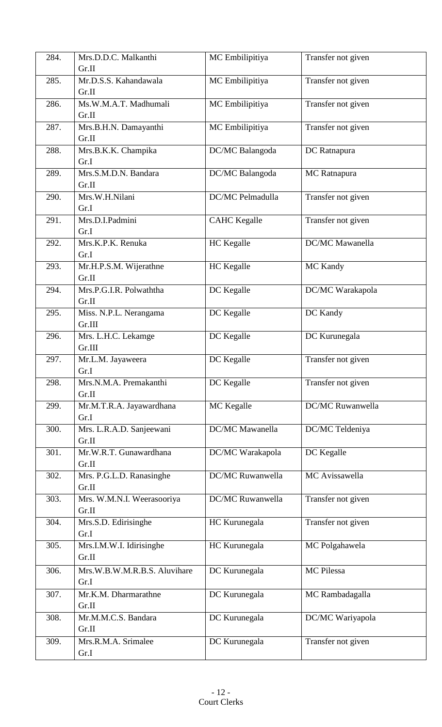| 284. | Mrs.D.D.C. Malkanthi            | MC Embilipitiya         | Transfer not given |
|------|---------------------------------|-------------------------|--------------------|
|      | Gr.II                           |                         |                    |
| 285. | Mr.D.S.S. Kahandawala           | MC Embilipitiya         | Transfer not given |
|      | Gr.II                           |                         |                    |
| 286. | Ms.W.M.A.T. Madhumali           | MC Embilipitiya         | Transfer not given |
|      | Gr.II                           |                         |                    |
| 287. | Mrs.B.H.N. Damayanthi           | MC Embilipitiya         | Transfer not given |
|      | Gr.II                           |                         |                    |
| 288. | Mrs.B.K.K. Champika             | DC/MC Balangoda         | DC Ratnapura       |
|      | Gr.I                            |                         |                    |
| 289. | Mrs.S.M.D.N. Bandara            | DC/MC Balangoda         | MC Ratnapura       |
|      | Gr.II                           |                         |                    |
| 290. | Mrs.W.H.Nilani                  | <b>DC/MC Pelmadulla</b> | Transfer not given |
| 291. | Gr.I<br>Mrs.D.I.Padmini         |                         |                    |
|      | Gr.I                            | <b>CAHC</b> Kegalle     | Transfer not given |
| 292. | Mrs.K.P.K. Renuka               | <b>HC</b> Kegalle       | DC/MC Mawanella    |
|      | Gr.I                            |                         |                    |
| 293. | Mr.H.P.S.M. Wijerathne          | HC Kegalle              | MC Kandy           |
|      | Gr.II                           |                         |                    |
| 294. | Mrs.P.G.I.R. Polwaththa         | DC Kegalle              | DC/MC Warakapola   |
|      | Gr.II                           |                         |                    |
| 295. | Miss. N.P.L. Nerangama          | DC Kegalle              | DC Kandy           |
|      | Gr.III                          |                         |                    |
| 296. | Mrs. L.H.C. Lekamge             | DC Kegalle              | DC Kurunegala      |
|      | Gr.III                          |                         |                    |
| 297. | Mr.L.M. Jayaweera               | DC Kegalle              | Transfer not given |
|      | Gr.I                            |                         |                    |
| 298. | Mrs.N.M.A. Premakanthi          | DC Kegalle              | Transfer not given |
|      | Gr.II                           |                         |                    |
| 299. | Mr.M.T.R.A. Jayawardhana        | MC Kegalle              | DC/MC Ruwanwella   |
|      | Gr.I                            |                         |                    |
| 300. | Mrs. L.R.A.D. Sanjeewani        | DC/MC Mawanella         | DC/MC Teldeniya    |
| 301. | Gr.II<br>Mr.W.R.T. Gunawardhana |                         |                    |
|      | Gr.II                           | DC/MC Warakapola        | DC Kegalle         |
| 302. | Mrs. P.G.L.D. Ranasinghe        | DC/MC Ruwanwella        | MC Avissawella     |
|      | Gr.II                           |                         |                    |
| 303. | Mrs. W.M.N.I. Weerasooriya      | DC/MC Ruwanwella        | Transfer not given |
|      | Gr.II                           |                         |                    |
| 304. | Mrs.S.D. Edirisinghe            | HC Kurunegala           | Transfer not given |
|      | Gr.I                            |                         |                    |
| 305. | Mrs.I.M.W.I. Idirisinghe        | HC Kurunegala           | MC Polgahawela     |
|      | Gr.II                           |                         |                    |
| 306. | Mrs.W.B.W.M.R.B.S. Aluvihare    | DC Kurunegala           | MC Pilessa         |
|      | Gr.I                            |                         |                    |
| 307. | Mr.K.M. Dharmarathne            | DC Kurunegala           | MC Rambadagalla    |
|      | Gr.II                           |                         |                    |
| 308. | Mr.M.M.C.S. Bandara             | DC Kurunegala           | DC/MC Wariyapola   |
|      | Gr.II                           |                         |                    |
| 309. | Mrs.R.M.A. Srimalee             | DC Kurunegala           | Transfer not given |
|      | Gr.I                            |                         |                    |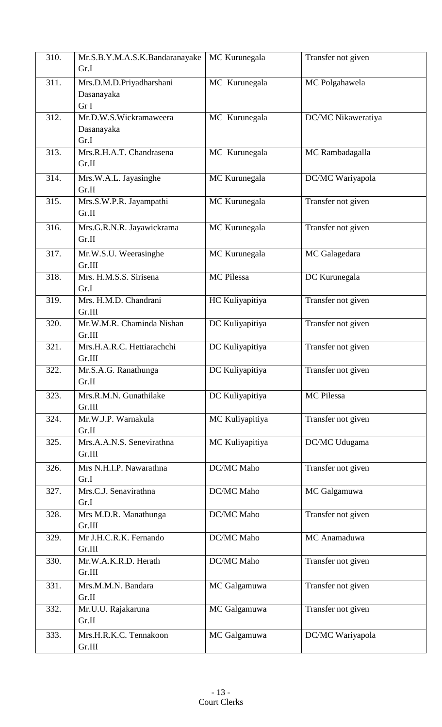| 310. | Mr.S.B.Y.M.A.S.K.Bandaranayake | MC Kurunegala     | Transfer not given |
|------|--------------------------------|-------------------|--------------------|
|      | Gr.I                           |                   |                    |
| 311. | Mrs.D.M.D.Priyadharshani       | MC Kurunegala     | MC Polgahawela     |
|      | Dasanayaka                     |                   |                    |
|      | Gr I                           |                   |                    |
| 312. | Mr.D.W.S.Wickramaweera         | MC Kurunegala     | DC/MC Nikaweratiya |
|      | Dasanayaka                     |                   |                    |
|      | Gr.I                           |                   |                    |
| 313. | Mrs.R.H.A.T. Chandrasena       | MC Kurunegala     | MC Rambadagalla    |
|      | Gr.II                          |                   |                    |
| 314. | Mrs.W.A.L. Jayasinghe          | MC Kurunegala     | DC/MC Wariyapola   |
|      | Gr.II                          |                   |                    |
| 315. | Mrs.S.W.P.R. Jayampathi        | MC Kurunegala     | Transfer not given |
|      | Gr.II                          |                   |                    |
| 316. | Mrs.G.R.N.R. Jayawickrama      | MC Kurunegala     | Transfer not given |
|      | Gr.II                          |                   |                    |
| 317. | Mr.W.S.U. Weerasinghe          | MC Kurunegala     | MC Galagedara      |
|      | Gr.III                         |                   |                    |
| 318. | Mrs. H.M.S.S. Sirisena         | <b>MC</b> Pilessa | DC Kurunegala      |
|      | Gr.I                           |                   |                    |
| 319. | Mrs. H.M.D. Chandrani          | HC Kuliyapitiya   | Transfer not given |
|      | Gr.III                         |                   |                    |
| 320. | Mr.W.M.R. Chaminda Nishan      | DC Kuliyapitiya   | Transfer not given |
|      | Gr.III                         |                   |                    |
| 321. | Mrs.H.A.R.C. Hettiarachchi     | DC Kuliyapitiya   | Transfer not given |
|      | Gr.III                         |                   |                    |
| 322. | Mr.S.A.G. Ranathunga           | DC Kuliyapitiya   | Transfer not given |
|      | Gr.II                          |                   |                    |
| 323. | Mrs.R.M.N. Gunathilake         | DC Kuliyapitiya   | MC Pilessa         |
|      | Gr.III                         |                   |                    |
| 324. | Mr.W.J.P. Warnakula            | MC Kuliyapitiya   | Transfer not given |
|      | Gr.II                          |                   |                    |
| 325. | Mrs.A.A.N.S. Senevirathna      | MC Kuliyapitiya   | DC/MC Udugama      |
|      | Gr.III                         |                   |                    |
| 326. | Mrs N.H.I.P. Nawarathna        | DC/MC Maho        | Transfer not given |
|      | Gr.I                           |                   |                    |
| 327. | Mrs.C.J. Senavirathna          | DC/MC Maho        | MC Galgamuwa       |
|      | Gr.I                           |                   |                    |
| 328. | Mrs M.D.R. Manathunga          | DC/MC Maho        | Transfer not given |
|      | Gr.III                         |                   |                    |
| 329. | Mr J.H.C.R.K. Fernando         | DC/MC Maho        | MC Anamaduwa       |
|      | Gr.III                         |                   |                    |
| 330. | Mr.W.A.K.R.D. Herath           | DC/MC Maho        | Transfer not given |
|      | Gr.III                         |                   |                    |
| 331. | Mrs.M.M.N. Bandara             | MC Galgamuwa      | Transfer not given |
|      | Gr.II                          |                   |                    |
| 332. | Mr.U.U. Rajakaruna             | MC Galgamuwa      | Transfer not given |
|      | Gr.II                          |                   |                    |
| 333. | Mrs.H.R.K.C. Tennakoon         | MC Galgamuwa      | DC/MC Wariyapola   |
|      | Gr.III                         |                   |                    |
|      |                                |                   |                    |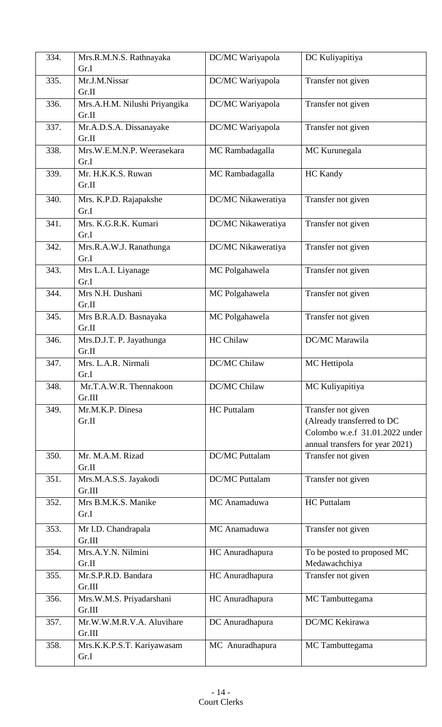| 334. | Mrs.R.M.N.S. Rathnayaka            | DC/MC Wariyapola      | DC Kuliyapitiya                 |
|------|------------------------------------|-----------------------|---------------------------------|
|      | Gr.I                               |                       |                                 |
| 335. | Mr.J.M.Nissar                      | DC/MC Wariyapola      | Transfer not given              |
|      | Gr.II                              |                       |                                 |
| 336. | Mrs.A.H.M. Nilushi Priyangika      | DC/MC Wariyapola      | Transfer not given              |
|      | Gr.II                              |                       |                                 |
| 337. | Mr.A.D.S.A. Dissanayake<br>Gr.II   | DC/MC Wariyapola      | Transfer not given              |
| 338. | Mrs.W.E.M.N.P. Weerasekara         | MC Rambadagalla       | MC Kurunegala                   |
|      | Gr.I                               |                       |                                 |
| 339. | Mr. H.K.K.S. Ruwan                 | MC Rambadagalla       | <b>HC</b> Kandy                 |
|      | Gr.II                              |                       |                                 |
| 340. | Mrs. K.P.D. Rajapakshe             | DC/MC Nikaweratiya    | Transfer not given              |
|      | Gr.I                               |                       |                                 |
| 341. | Mrs. K.G.R.K. Kumari               | DC/MC Nikaweratiya    | Transfer not given              |
|      | Gr.I                               |                       |                                 |
| 342. | Mrs.R.A.W.J. Ranathunga            | DC/MC Nikaweratiya    | Transfer not given              |
|      | Gr.I                               |                       |                                 |
| 343. | Mrs L.A.I. Liyanage                | MC Polgahawela        | Transfer not given              |
|      | Gr.I                               |                       |                                 |
| 344. | Mrs N.H. Dushani                   | MC Polgahawela        | Transfer not given              |
|      | Gr.II                              |                       |                                 |
| 345. | Mrs B.R.A.D. Basnayaka             | MC Polgahawela        | Transfer not given              |
|      | Gr.II                              |                       |                                 |
| 346. | Mrs.D.J.T. P. Jayathunga           | HC Chilaw             | DC/MC Marawila                  |
|      | Gr.II                              |                       |                                 |
|      |                                    |                       |                                 |
|      |                                    |                       |                                 |
| 347. | Mrs. L.A.R. Nirmali<br>Gr.I        | DC/MC Chilaw          | MC Hettipola                    |
| 348. | Mr.T.A.W.R. Thennakoon             | <b>DC/MC Chilaw</b>   |                                 |
|      | Gr.III                             |                       | MC Kuliyapitiya                 |
| 349. | Mr.M.K.P. Dinesa                   | <b>HC</b> Puttalam    |                                 |
|      | Gr.II                              |                       | Transfer not given              |
|      |                                    |                       | (Already transferred to DC      |
|      |                                    |                       | Colombo w.e.f 31.01.2022 under  |
|      |                                    |                       | annual transfers for year 2021) |
| 350. | Mr. M.A.M. Rizad                   | <b>DC/MC</b> Puttalam | Transfer not given              |
|      | Gr.II                              |                       |                                 |
| 351. | Mrs.M.A.S.S. Jayakodi              | <b>DC/MC</b> Puttalam | Transfer not given              |
|      | Gr.III                             |                       |                                 |
| 352. | Mrs B.M.K.S. Manike                | MC Anamaduwa          | <b>HC</b> Puttalam              |
|      | Gr.I                               |                       |                                 |
| 353. | Mr I.D. Chandrapala                | MC Anamaduwa          | Transfer not given              |
|      | Gr.III                             |                       |                                 |
| 354. | Mrs.A.Y.N. Nilmini                 | HC Anuradhapura       | To be posted to proposed MC     |
|      | Gr.II                              |                       | Medawachchiya                   |
| 355. | Mr.S.P.R.D. Bandara                | HC Anuradhapura       | Transfer not given              |
|      | Gr.III                             |                       |                                 |
| 356. | Mrs.W.M.S. Priyadarshani           | HC Anuradhapura       | MC Tambuttegama                 |
|      | Gr.III                             |                       |                                 |
| 357. | Mr.W.W.M.R.V.A. Aluvihare          | DC Anuradhapura       | DC/MC Kekirawa                  |
|      | Gr.III                             |                       |                                 |
| 358. | Mrs.K.K.P.S.T. Kariyawasam<br>Gr.I | MC Anuradhapura       | MC Tambuttegama                 |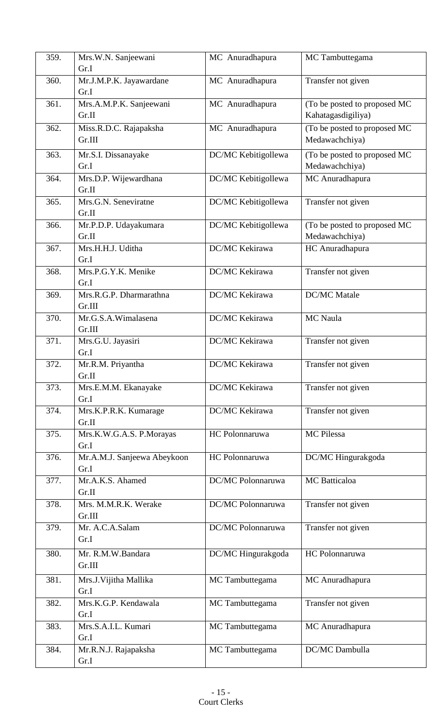| 359. | Mrs.W.N. Sanjeewani             | MC Anuradhapura     | MC Tambuttegama              |
|------|---------------------------------|---------------------|------------------------------|
|      | Gr.I                            |                     |                              |
| 360. | Mr.J.M.P.K. Jayawardane         | MC Anuradhapura     | Transfer not given           |
|      | Gr.I                            |                     |                              |
| 361. | Mrs.A.M.P.K. Sanjeewani         | MC Anuradhapura     | (To be posted to proposed MC |
|      | Gr.II                           |                     | Kahatagasdigiliya)           |
| 362. | Miss.R.D.C. Rajapaksha          | MC Anuradhapura     | (To be posted to proposed MC |
|      | Gr.III                          |                     | Medawachchiya)               |
| 363. | Mr.S.I. Dissanayake             | DC/MC Kebitigollewa | (To be posted to proposed MC |
|      | Gr.I                            |                     | Medawachchiya)               |
| 364. | Mrs.D.P. Wijewardhana           | DC/MC Kebitigollewa | MC Anuradhapura              |
|      | Gr.II                           |                     |                              |
| 365. | Mrs.G.N. Seneviratne            | DC/MC Kebitigollewa | Transfer not given           |
|      | Gr.II                           |                     |                              |
| 366. | Mr.P.D.P. Udayakumara           | DC/MC Kebitigollewa | (To be posted to proposed MC |
|      | Gr.II                           |                     | Medawachchiya)               |
| 367. | Mrs.H.H.J. Uditha               | DC/MC Kekirawa      | HC Anuradhapura              |
|      | Gr.I                            |                     |                              |
| 368. | Mrs.P.G.Y.K. Menike             | DC/MC Kekirawa      | Transfer not given           |
|      | Gr.I<br>Mrs.R.G.P. Dharmarathna | DC/MC Kekirawa      | <b>DC/MC</b> Matale          |
| 369. | Gr.III                          |                     |                              |
| 370. | Mr.G.S.A.Wimalasena             | DC/MC Kekirawa      | MC Naula                     |
|      | Gr.III                          |                     |                              |
| 371. | Mrs.G.U. Jayasiri               | DC/MC Kekirawa      | Transfer not given           |
|      | Gr.I                            |                     |                              |
| 372. | Mr.R.M. Priyantha               | DC/MC Kekirawa      | Transfer not given           |
|      | Gr.II                           |                     |                              |
| 373. | Mrs.E.M.M. Ekanayake            | DC/MC Kekirawa      | Transfer not given           |
|      | Gr.I                            |                     |                              |
| 374. | Mrs.K.P.R.K. Kumarage           | DC/MC Kekirawa      | Transfer not given           |
|      | Gr.II                           |                     |                              |
| 375. | Mrs.K.W.G.A.S. P.Morayas        | HC Polonnaruwa      | MC Pilessa                   |
|      | Gr.I                            |                     |                              |
| 376. | Mr.A.M.J. Sanjeewa Abeykoon     | HC Polonnaruwa      | DC/MC Hingurakgoda           |
|      | Gr.I                            |                     |                              |
| 377. | Mr.A.K.S. Ahamed                | DC/MC Polonnaruwa   | MC Batticaloa                |
|      | Gr.II                           |                     |                              |
| 378. | Mrs. M.M.R.K. Werake<br>Gr.III  | DC/MC Polonnaruwa   | Transfer not given           |
| 379. | Mr. A.C.A.Salam                 | DC/MC Polonnaruwa   | Transfer not given           |
|      | Gr.I                            |                     |                              |
|      | Mr. R.M.W.Bandara               |                     | HC Polonnaruwa               |
| 380. | Gr.III                          | DC/MC Hingurakgoda  |                              |
|      |                                 |                     |                              |
| 381. | Mrs.J. Vijitha Mallika<br>Gr.I  | MC Tambuttegama     | MC Anuradhapura              |
| 382. | Mrs.K.G.P. Kendawala            | MC Tambuttegama     | Transfer not given           |
|      | Gr.I                            |                     |                              |
| 383. | Mrs.S.A.I.L. Kumari             | MC Tambuttegama     | MC Anuradhapura              |
|      | Gr.I                            |                     |                              |
| 384. | Mr.R.N.J. Rajapaksha            | MC Tambuttegama     | DC/MC Dambulla               |
|      | Gr.I                            |                     |                              |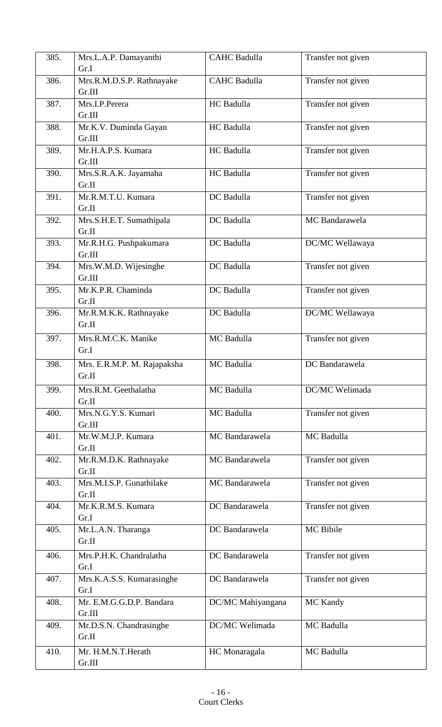| 385. | Mrs.L.A.P. Damayanthi<br>Gr.I        | <b>CAHC</b> Badulla | Transfer not given |
|------|--------------------------------------|---------------------|--------------------|
| 386. | Mrs.R.M.D.S.P. Rathnayake<br>Gr.III  | <b>CAHC Badulla</b> | Transfer not given |
| 387. | Mrs.I.P.Perera<br>Gr.III             | HC Badulla          | Transfer not given |
| 388. | Mr.K.V. Duminda Gayan<br>Gr.III      | HC Badulla          | Transfer not given |
| 389. | Mr.H.A.P.S. Kumara<br>Gr.III         | HC Badulla          | Transfer not given |
| 390. | Mrs.S.R.A.K. Jayamaha<br>Gr.II       | HC Badulla          | Transfer not given |
| 391. | Mr.R.M.T.U. Kumara<br>Gr.II          | DC Badulla          | Transfer not given |
| 392. | Mrs.S.H.E.T. Sumathipala<br>Gr.II    | DC Badulla          | MC Bandarawela     |
| 393. | Mr.R.H.G. Pushpakumara<br>Gr.III     | DC Badulla          | DC/MC Wellawaya    |
| 394. | Mrs.W.M.D. Wijesinghe<br>Gr.III      | DC Badulla          | Transfer not given |
| 395. | Mr.K.P.R. Chaminda<br>Gr.II          | DC Badulla          | Transfer not given |
| 396. | Mr.R.M.K.K. Rathnayake<br>Gr.II      | DC Badulla          | DC/MC Wellawaya    |
| 397. | Mrs.R.M.C.K. Manike<br>Gr.I          | MC Badulla          | Transfer not given |
| 398. | Mrs. E.R.M.P. M. Rajapaksha<br>Gr.II | MC Badulla          | DC Bandarawela     |
| 399. | Mrs.R.M. Geethalatha<br>Gr.II        | MC Badulla          | DC/MC Welimada     |
| 400. | Mrs.N.G.Y.S. Kumari<br>Gr.III        | MC Badulla          | Transfer not given |
| 401. | Mr.W.M.J.P. Kumara<br>Gr.II          | MC Bandarawela      | MC Badulla         |
| 402. | Mr.R.M.D.K. Rathnayake<br>Gr.II      | MC Bandarawela      | Transfer not given |
| 403. | Mrs.M.I.S.P. Gunathilake<br>Gr.II    | MC Bandarawela      | Transfer not given |
| 404. | Mr.K.R.M.S. Kumara<br>Gr.I           | DC Bandarawela      | Transfer not given |
| 405. | Mr.L.A.N. Tharanga<br>Gr.II          | DC Bandarawela      | MC Bibile          |
| 406. | Mrs.P.H.K. Chandralatha<br>Gr.I      | DC Bandarawela      | Transfer not given |
| 407. | Mrs.K.A.S.S. Kumarasinghe<br>Gr.I    | DC Bandarawela      | Transfer not given |
| 408. | Mr. E.M.G.G.D.P. Bandara<br>Gr.III   | DC/MC Mahiyangana   | MC Kandy           |
| 409. | Mr.D.S.N. Chandrasinghe<br>Gr.II     | DC/MC Welimada      | MC Badulla         |
| 410. | Mr. H.M.N.T.Herath<br>Gr.III         | HC Monaragala       | MC Badulla         |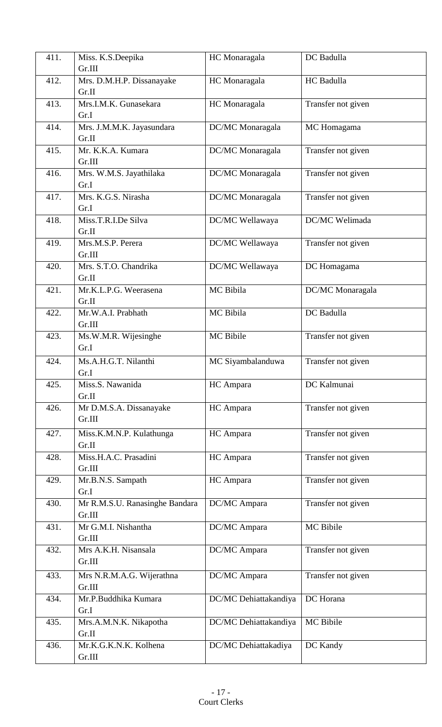| 411. | Miss. K.S.Deepika<br>Gr.III              | HC Monaragala         | DC Badulla         |
|------|------------------------------------------|-----------------------|--------------------|
| 412. | Mrs. D.M.H.P. Dissanayake<br>Gr.II       | HC Monaragala         | HC Badulla         |
| 413. | Mrs.I.M.K. Gunasekara<br>Gr.I            | HC Monaragala         | Transfer not given |
| 414. | Mrs. J.M.M.K. Jayasundara<br>Gr.II       | DC/MC Monaragala      | MC Homagama        |
| 415. | Mr. K.K.A. Kumara<br>Gr.III              | DC/MC Monaragala      | Transfer not given |
| 416. | Mrs. W.M.S. Jayathilaka<br>Gr.I          | DC/MC Monaragala      | Transfer not given |
| 417. | Mrs. K.G.S. Nirasha<br>Gr.I              | DC/MC Monaragala      | Transfer not given |
| 418. | Miss.T.R.I.De Silva<br>Gr.II             | DC/MC Wellawaya       | DC/MC Welimada     |
| 419. | Mrs.M.S.P. Perera<br>Gr.III              | DC/MC Wellawaya       | Transfer not given |
| 420. | Mrs. S.T.O. Chandrika<br>Gr.II           | DC/MC Wellawaya       | DC Homagama        |
| 421. | Mr.K.L.P.G. Weerasena<br>Gr.II           | MC Bibila             | DC/MC Monaragala   |
| 422. | Mr.W.A.I. Prabhath<br>Gr.III             | MC Bibila             | DC Badulla         |
| 423. | Ms.W.M.R. Wijesinghe<br>Gr.I             | MC Bibile             | Transfer not given |
| 424. | Ms.A.H.G.T. Nilanthi<br>Gr.I             | MC Siyambalanduwa     | Transfer not given |
| 425. | Miss.S. Nawanida<br>Gr.II                | HC Ampara             | DC Kalmunai        |
| 426. | Mr D.M.S.A. Dissanayake<br>Gr.III        | HC Ampara             | Transfer not given |
| 427. | Miss.K.M.N.P. Kulathunga<br>Gr.II        | HC Ampara             | Transfer not given |
| 428. | Miss.H.A.C. Prasadini<br>Gr.III          | HC Ampara             | Transfer not given |
| 429. | Mr.B.N.S. Sampath<br>Gr.I                | HC Ampara             | Transfer not given |
| 430. | Mr R.M.S.U. Ranasinghe Bandara<br>Gr.III | DC/MC Ampara          | Transfer not given |
| 431. | Mr G.M.I. Nishantha<br>Gr.III            | DC/MC Ampara          | MC Bibile          |
| 432. | Mrs A.K.H. Nisansala<br>Gr.III           | DC/MC Ampara          | Transfer not given |
| 433. | Mrs N.R.M.A.G. Wijerathna<br>Gr.III      | DC/MC Ampara          | Transfer not given |
| 434. | Mr.P.Buddhika Kumara<br>Gr.I             | DC/MC Dehiattakandiya | DC Horana          |
| 435. | Mrs.A.M.N.K. Nikapotha<br>Gr.II          | DC/MC Dehiattakandiya | MC Bibile          |
| 436. | Mr.K.G.K.N.K. Kolhena<br>Gr.III          | DC/MC Dehiattakadiya  | DC Kandy           |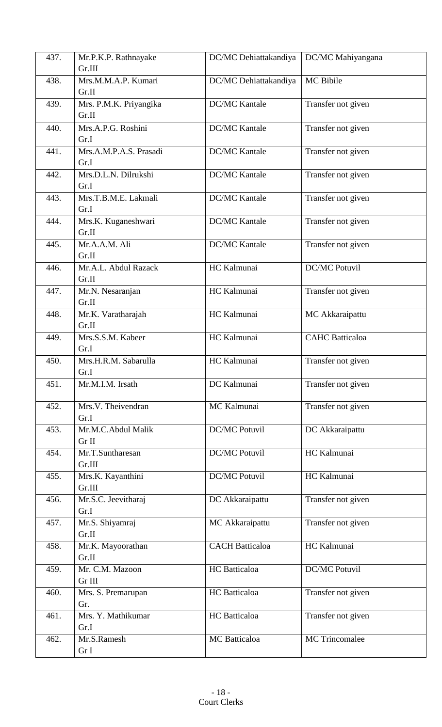| 437. | Mr.P.K.P. Rathnayake        | DC/MC Dehiattakandiya  | DC/MC Mahiyangana      |
|------|-----------------------------|------------------------|------------------------|
|      | Gr.III                      |                        |                        |
| 438. | Mrs.M.M.A.P. Kumari         | DC/MC Dehiattakandiya  | MC Bibile              |
|      | Gr.II                       |                        |                        |
| 439. | Mrs. P.M.K. Priyangika      | <b>DC/MC Kantale</b>   | Transfer not given     |
|      | Gr.II                       |                        |                        |
| 440. | Mrs.A.P.G. Roshini          | <b>DC/MC Kantale</b>   | Transfer not given     |
|      | Gr.I                        |                        |                        |
| 441. | Mrs.A.M.P.A.S. Prasadi      | <b>DC/MC Kantale</b>   | Transfer not given     |
|      | Gr.I                        |                        |                        |
| 442. | Mrs.D.L.N. Dilrukshi        | <b>DC/MC Kantale</b>   | Transfer not given     |
|      | Gr.I                        |                        |                        |
| 443. | Mrs.T.B.M.E. Lakmali        | <b>DC/MC Kantale</b>   | Transfer not given     |
|      | Gr.I                        |                        |                        |
| 444. | Mrs.K. Kuganeshwari         | <b>DC/MC Kantale</b>   | Transfer not given     |
|      | Gr.II                       |                        |                        |
| 445. | Mr.A.A.M. Ali               | <b>DC/MC Kantale</b>   | Transfer not given     |
|      | Gr.II                       |                        |                        |
| 446. | Mr.A.L. Abdul Razack        | HC Kalmunai            | <b>DC/MC Potuvil</b>   |
|      | Gr.II                       |                        |                        |
| 447. | Mr.N. Nesaranjan            | HC Kalmunai            | Transfer not given     |
|      | Gr.II                       | HC Kalmunai            |                        |
| 448. | Mr.K. Varatharajah<br>Gr.II |                        | MC Akkaraipattu        |
| 449. | Mrs.S.S.M. Kabeer           | HC Kalmunai            | <b>CAHC</b> Batticaloa |
|      | Gr.I                        |                        |                        |
| 450. | Mrs.H.R.M. Sabarulla        | HC Kalmunai            | Transfer not given     |
|      | Gr.I                        |                        |                        |
| 451. | Mr.M.I.M. Irsath            | DC Kalmunai            | Transfer not given     |
|      |                             |                        |                        |
| 452. | Mrs.V. Theivendran          | MC Kalmunai            | Transfer not given     |
|      | Gr.I                        |                        |                        |
| 453. | Mr.M.C.Abdul Malik          | <b>DC/MC Potuvil</b>   | DC Akkaraipattu        |
|      | Gr II                       |                        |                        |
| 454. | Mr.T.Suntharesan            | <b>DC/MC Potuvil</b>   | HC Kalmunai            |
|      | Gr.III                      |                        |                        |
| 455. | Mrs.K. Kayanthini           | <b>DC/MC Potuvil</b>   | HC Kalmunai            |
|      | Gr.III                      |                        |                        |
| 456. | Mr.S.C. Jeevitharaj         | DC Akkaraipattu        | Transfer not given     |
|      | Gr.I                        |                        |                        |
| 457. | Mr.S. Shiyamraj<br>Gr.II    | MC Akkaraipattu        | Transfer not given     |
| 458. | Mr.K. Mayoorathan           | <b>CACH Batticaloa</b> | HC Kalmunai            |
|      | Gr.II                       |                        |                        |
| 459. | Mr. C.M. Mazoon             | HC Batticaloa          | <b>DC/MC Potuvil</b>   |
|      | Gr III                      |                        |                        |
| 460. | Mrs. S. Premarupan          | HC Batticaloa          | Transfer not given     |
|      | Gr.                         |                        |                        |
| 461. | Mrs. Y. Mathikumar          | HC Batticaloa          | Transfer not given     |
|      | Gr.I                        |                        |                        |
| 462. | Mr.S.Ramesh                 | <b>MC</b> Batticaloa   | <b>MC</b> Trincomalee  |
|      | Gr I                        |                        |                        |
|      |                             |                        |                        |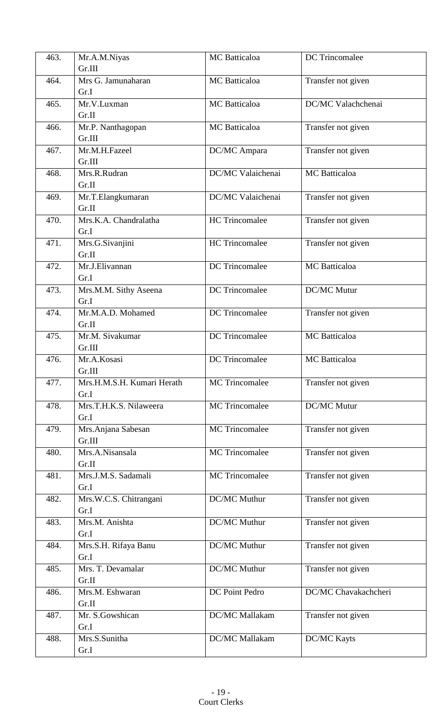| 463. | Mr.A.M.Niyas               | <b>MC</b> Batticaloa  | <b>DC</b> Trincomalee |
|------|----------------------------|-----------------------|-----------------------|
|      | Gr.III                     |                       |                       |
| 464. | Mrs G. Jamunaharan         | <b>MC</b> Batticaloa  | Transfer not given    |
|      | Gr.I                       |                       |                       |
| 465. | Mr.V.Luxman                | <b>MC</b> Batticaloa  | DC/MC Valachchenai    |
|      | Gr.II                      |                       |                       |
| 466. | Mr.P. Nanthagopan          | <b>MC</b> Batticaloa  | Transfer not given    |
|      | Gr.III                     |                       |                       |
| 467. | Mr.M.H.Fazeel              | DC/MC Ampara          | Transfer not given    |
|      | Gr.III                     |                       |                       |
| 468. | Mrs.R.Rudran               | DC/MC Valaichenai     | MC Batticaloa         |
|      | Gr.II                      |                       |                       |
| 469. | Mr.T.Elangkumaran          | DC/MC Valaichenai     | Transfer not given    |
|      | Gr.II                      |                       |                       |
| 470. | Mrs.K.A. Chandralatha      | <b>HC</b> Trincomalee | Transfer not given    |
|      | Gr.I                       |                       |                       |
| 471. | Mrs.G.Sivanjini            | <b>HC</b> Trincomalee | Transfer not given    |
|      | Gr.II<br>Mr.J.Elivannan    | <b>DC</b> Trincomalee |                       |
| 472. | Gr.I                       |                       | MC Batticaloa         |
| 473. | Mrs.M.M. Sithy Aseena      | DC Trincomalee        | DC/MC Mutur           |
|      | Gr.I                       |                       |                       |
| 474. | Mr.M.A.D. Mohamed          | <b>DC</b> Trincomalee | Transfer not given    |
|      | Gr.II                      |                       |                       |
| 475. | Mr.M. Sivakumar            | <b>DC</b> Trincomalee | <b>MC</b> Batticaloa  |
|      | Gr.III                     |                       |                       |
| 476. | Mr.A.Kosasi                | <b>DC</b> Trincomalee | <b>MC</b> Batticaloa  |
|      | Gr.III                     |                       |                       |
| 477. | Mrs.H.M.S.H. Kumari Herath | <b>MC</b> Trincomalee | Transfer not given    |
|      | Gr.I                       |                       |                       |
| 478. | Mrs.T.H.K.S. Nilaweera     | <b>MC</b> Trincomalee | DC/MC Mutur           |
|      | Gr.I                       |                       |                       |
| 479. | Mrs. Anjana Sabesan        | <b>MC</b> Trincomalee | Transfer not given    |
|      | Gr.III                     |                       |                       |
| 480. | Mrs.A.Nisansala            | <b>MC</b> Trincomalee | Transfer not given    |
|      | Gr.II                      |                       |                       |
| 481. | Mrs.J.M.S. Sadamali        | <b>MC</b> Trincomalee | Transfer not given    |
|      | Gr.I                       |                       |                       |
| 482. | Mrs.W.C.S. Chitrangani     | DC/MC Muthur          | Transfer not given    |
|      | Gr.I                       |                       |                       |
| 483. | Mrs.M. Anishta<br>Gr.I     | DC/MC Muthur          | Transfer not given    |
| 484. | Mrs.S.H. Rifaya Banu       | DC/MC Muthur          |                       |
|      | Gr.I                       |                       | Transfer not given    |
| 485. | Mrs. T. Devamalar          | DC/MC Muthur          | Transfer not given    |
|      | Gr.II                      |                       |                       |
| 486. | Mrs.M. Eshwaran            | DC Point Pedro        | DC/MC Chavakachcheri  |
|      | Gr.II                      |                       |                       |
| 487. | Mr. S.Gowshican            | DC/MC Mallakam        | Transfer not given    |
|      | Gr.I                       |                       |                       |
| 488. | Mrs.S.Sunitha              | DC/MC Mallakam        | <b>DC/MC Kayts</b>    |
|      | Gr.I                       |                       |                       |
|      |                            |                       |                       |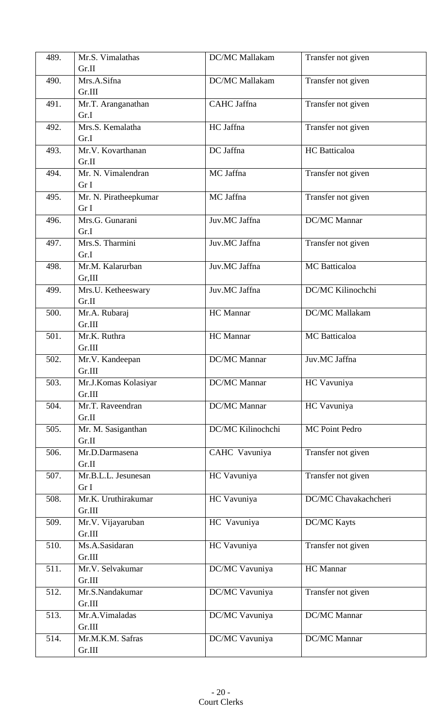| 489. | Mr.S. Vimalathas      | DC/MC Mallakam      | Transfer not given   |
|------|-----------------------|---------------------|----------------------|
|      | Gr.II                 |                     |                      |
| 490. | Mrs.A.Sifna           | DC/MC Mallakam      | Transfer not given   |
|      | Gr.III                |                     |                      |
| 491. | Mr.T. Aranganathan    | CAHC Jaffna         | Transfer not given   |
|      | Gr.I                  |                     |                      |
| 492. | Mrs.S. Kemalatha      | HC Jaffna           | Transfer not given   |
|      | Gr.I                  |                     |                      |
| 493. | Mr.V. Kovarthanan     | DC Jaffna           | <b>HC</b> Batticaloa |
|      | Gr.II                 |                     |                      |
| 494. | Mr. N. Vimalendran    | MC Jaffna           | Transfer not given   |
|      | Gr I                  |                     |                      |
| 495. | Mr. N. Piratheepkumar | MC Jaffna           | Transfer not given   |
|      | Gr I                  |                     |                      |
| 496. | Mrs.G. Gunarani       | Juv.MC Jaffna       | <b>DC/MC</b> Mannar  |
|      | Gr.I                  |                     |                      |
| 497. | Mrs.S. Tharmini       | Juv.MC Jaffna       | Transfer not given   |
|      | Gr.I                  |                     |                      |
| 498. | Mr.M. Kalarurban      | Juv.MC Jaffna       | MC Batticaloa        |
|      | Gr, III               |                     |                      |
| 499. | Mrs.U. Ketheeswary    | Juv.MC Jaffna       | DC/MC Kilinochchi    |
|      | Gr.II                 |                     |                      |
| 500. | Mr.A. Rubaraj         | HC Mannar           | DC/MC Mallakam       |
|      | Gr.III                |                     |                      |
| 501. | Mr.K. Ruthra          | HC Mannar           | <b>MC</b> Batticaloa |
|      | Gr.III                |                     |                      |
| 502. | Mr.V. Kandeepan       | DC/MC Mannar        | Juv.MC Jaffna        |
|      | Gr.III                |                     |                      |
| 503. | Mr.J.Komas Kolasiyar  | DC/MC Mannar        | HC Vavuniya          |
|      | Gr.III                |                     |                      |
| 504. | Mr.T. Raveendran      | <b>DC/MC</b> Mannar | HC Vavuniya          |
|      | Gr.II                 |                     |                      |
| 505. | Mr. M. Sasiganthan    | DC/MC Kilinochchi   | MC Point Pedro       |
|      | Gr.II                 |                     |                      |
| 506. | Mr.D.Darmasena        | CAHC Vavuniya       | Transfer not given   |
|      | Gr.II                 |                     |                      |
| 507. | Mr.B.L.L. Jesunesan   | HC Vavuniya         | Transfer not given   |
|      | Gr I                  |                     |                      |
| 508. | Mr.K. Uruthirakumar   | HC Vavuniya         | DC/MC Chavakachcheri |
|      | Gr.III                |                     |                      |
| 509. | Mr.V. Vijayaruban     | HC Vavuniya         | <b>DC/MC Kayts</b>   |
|      | Gr.III                |                     |                      |
| 510. | Ms.A.Sasidaran        | HC Vavuniya         | Transfer not given   |
|      | Gr.III                |                     |                      |
| 511. | Mr.V. Selvakumar      | DC/MC Vavuniya      | HC Mannar            |
|      | Gr.III                |                     |                      |
| 512. | Mr.S.Nandakumar       | DC/MC Vavuniya      | Transfer not given   |
|      | Gr.III                |                     |                      |
| 513. | Mr.A.Vimaladas        | DC/MC Vavuniya      | DC/MC Mannar         |
|      | Gr.III                |                     |                      |
| 514. | Mr.M.K.M. Safras      | DC/MC Vavuniya      | DC/MC Mannar         |
|      | Gr.III                |                     |                      |